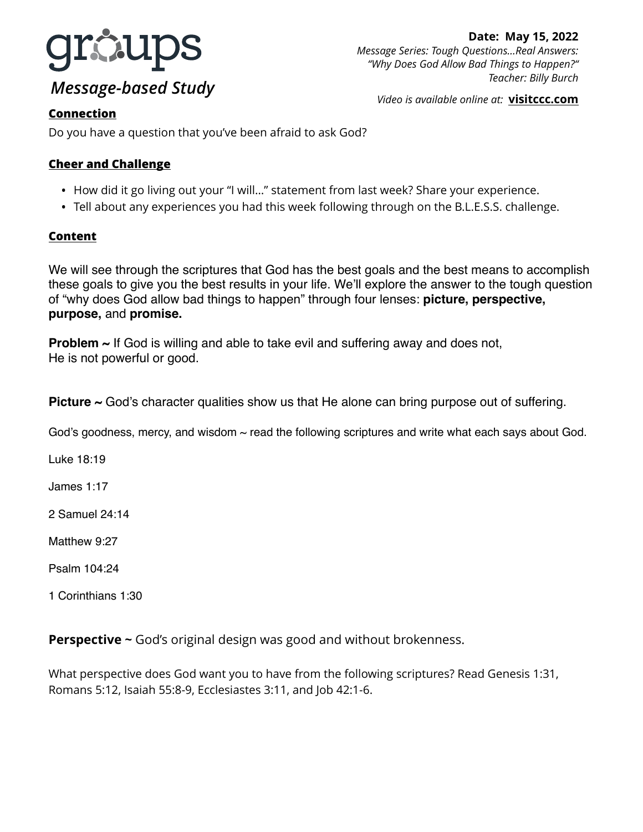

# *Message-based Study*

*Video is available online at:* **[visitccc.com](http://visitccc.com)**

## **Connection**

Do you have a question that you've been afraid to ask God?

### **Cheer and Challenge**

- How did it go living out your "I will…" statement from last week? Share your experience.
- Tell about any experiences you had this week following through on the B.L.E.S.S. challenge.

### **Content**

We will see through the scriptures that God has the best goals and the best means to accomplish these goals to give you the best results in your life. We'll explore the answer to the tough question of "why does God allow bad things to happen" through four lenses: **picture, perspective, purpose,** and **promise.** 

**Problem ~** If God is willing and able to take evil and suffering away and does not, He is not powerful or good.

**Picture ~** God's character qualities show us that He alone can bring purpose out of suffering.

God's goodness, mercy, and wisdom  $\sim$  read the following scriptures and write what each says about God.

Luke 18:19

James 1:17

2 Samuel 24:14

Matthew 9:27

Psalm 104:24

1 Corinthians 1:30

**Perspective ~** God's original design was good and without brokenness.

What perspective does God want you to have from the following scriptures? Read Genesis 1:31, Romans 5:12, Isaiah 55:8-9, Ecclesiastes 3:11, and Job 42:1-6.